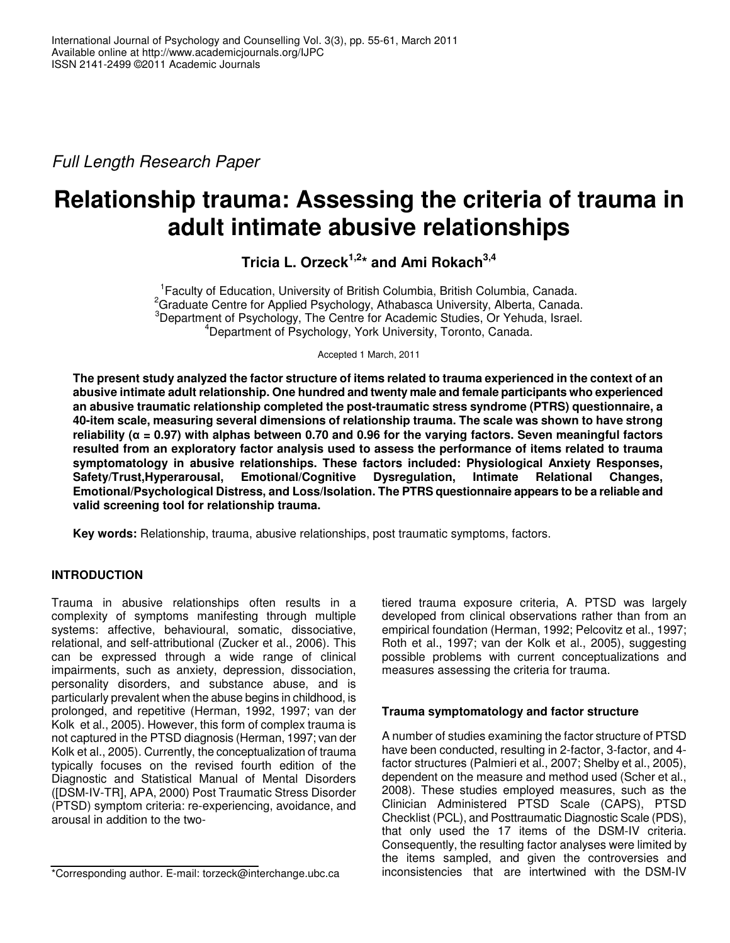*Full Length Research Paper*

# **Relationship trauma: Assessing the criteria of trauma in adult intimate abusive relationships**

**Tricia L. Orzeck 1,2 \* and Ami Rokach 3,4**

<sup>1</sup> Faculty of Education, University of British Columbia, British Columbia, Canada. <sup>2</sup>Graduate Centre for Applied Psychology, Athabasca University, Alberta, Canada. <sup>3</sup>Department of Psychology, The Centre for Academic Studies, Or Yehuda, Israel. <sup>4</sup>Department of Psychology, York University, Toronto, Canada.

Accepted 1 March, 2011

The present study analyzed the factor structure of items related to trauma experienced in the context of an **abusive intimate adult relationship. One hundred and twenty male and female participants who experienced an abusive traumatic relationship completed the post-traumatic stress syndrome (PTRS) questionnaire, a 40-item scale, measuring several dimensions of relationship trauma. The scale was shown to have strong** *reliability* ( $\alpha$  = 0.97) with alphas between 0.70 and 0.96 for the varying factors. Seven meaningful factors **resulted from an exploratory factor analysis used to assess the performance of items related to trauma symptomatology in abusive relationships. These factors included: Physiological Anxiety Responses, Safety/Trust,Hyperarousal, Emotional/Cognitive Dysregulation, Intimate Relational Changes, Emotional/Psychological Distress, and Loss/Isolation. The PTRS questionnaire appears to be a reliable and valid screening tool for relationship trauma.**

**Key words:** Relationship, trauma, abusive relationships, post traumatic symptoms, factors.

# **INTRODUCTION**

Trauma in abusive relationships often results in a complexity of symptoms manifesting through multiple systems: affective, behavioural, somatic, dissociative, relational, and self-attributional (Zucker et al., 2006). This can be expressed through a wide range of clinical impairments, such as anxiety, depression, dissociation, personality disorders, and substance abuse, and is particularly prevalent when the abuse begins in childhood, is prolonged, and repetitive (Herman, 1992, 1997; van der Kolk et al., 2005). However, this form of complex trauma is not captured in the PTSD diagnosis (Herman, 1997; van der Kolk et al., 2005). Currently, the conceptualization of trauma typically focuses on the revised fourth edition of the Diagnostic and Statistical Manual of Mental Disorders ([DSM-IV-TR], APA, 2000) Post Traumatic Stress Disorder (PTSD) symptom criteria: re-experiencing, avoidance, and arousal in addition to the twotiered trauma exposure criteria, A. PTSD was largely developed from clinical observations rather than from an empirical foundation (Herman, 1992; Pelcovitz et al., 1997; Roth et al., 1997; van der Kolk et al., 2005), suggesting possible problems with current conceptualizations and measures assessing the criteria for trauma.

# **Trauma symptomatology and factor structure**

A number of studies examining the factor structure of PTSD have been conducted, resulting in 2-factor, 3-factor, and 4 factor structures (Palmieri et al., 2007; Shelby et al., 2005), dependent on the measure and method used (Scher et al., 2008). These studies employed measures, such as the Clinician Administered PTSD Scale (CAPS), PTSD Checklist (PCL), and Posttraumatic Diagnostic Scale (PDS), that only used the 17 items of the DSM-IV criteria. Consequently, the resulting factor analyses were limited by the items sampled, and given the controversies and inconsistencies that are intertwined with the DSM-IV

<sup>\*</sup>Corresponding author. E-mail: torzeck@interchange.ubc.ca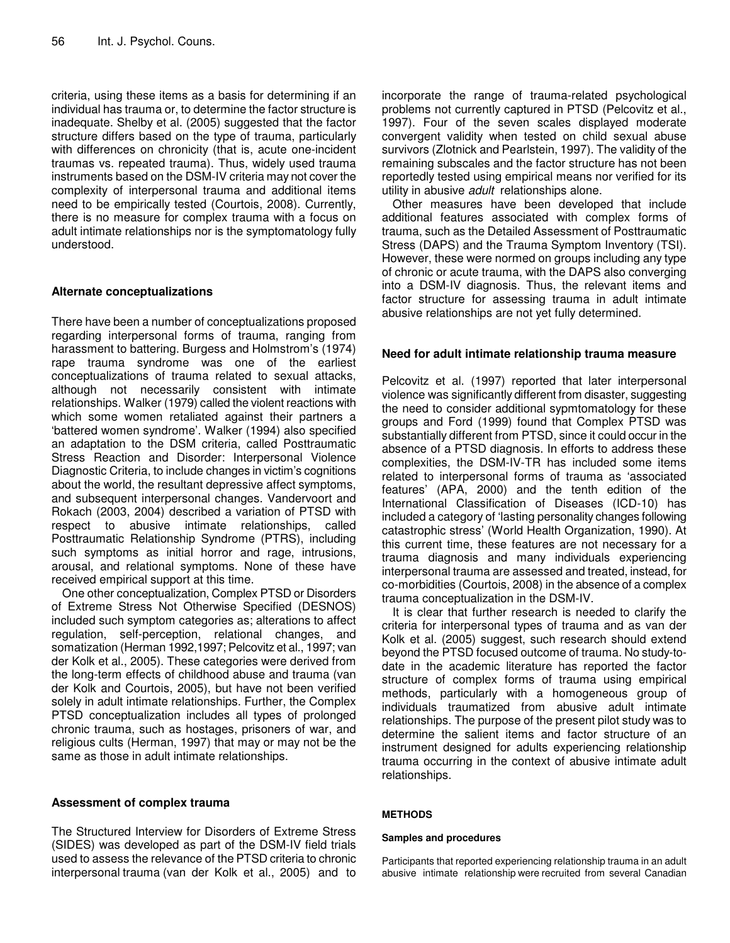criteria, using these items as a basis for determining if an individual has trauma or, to determine the factor structure is inadequate. Shelby et al. (2005) suggested that the factor structure differs based on the type of trauma, particularly with differences on chronicity (that is, acute one-incident traumas vs. repeated trauma). Thus, widely used trauma instruments based on the DSM-IV criteria may not cover the complexity of interpersonal trauma and additional items need to be empirically tested (Courtois, 2008). Currently, there is no measure for complex trauma with a focus on adult intimate relationships nor is the symptomatology fully understood.

# **Alternate conceptualizations**

There have been a number of conceptualizations proposed regarding interpersonal forms of trauma, ranging from harassment to battering. Burgess and Holmstrom's (1974) rape trauma syndrome was one of the earliest conceptualizations of trauma related to sexual attacks, although not necessarily consistent with intimate relationships. Walker (1979) called the violent reactions with which some women retaliated against their partners a 'battered women syndrome'. Walker (1994) also specified an adaptation to the DSM criteria, called Posttraumatic Stress Reaction and Disorder: Interpersonal Violence Diagnostic Criteria, to include changes in victim's cognitions about the world, the resultant depressive affect symptoms, and subsequent interpersonal changes. Vandervoort and Rokach (2003, 2004) described a variation of PTSD with respect to abusive intimate relationships, called Posttraumatic Relationship Syndrome (PTRS), including such symptoms as initial horror and rage, intrusions, arousal, and relational symptoms. None of these have received empirical support at this time.

One other conceptualization, Complex PTSD or Disorders of Extreme Stress Not Otherwise Specified (DESNOS) included such symptom categories as; alterations to affect regulation, self-perception, relational changes, and somatization (Herman 1992,1997; Pelcovitz et al., 1997; van der Kolk et al., 2005). These categories were derived from the long-term effects of childhood abuse and trauma (van der Kolk and Courtois, 2005), but have not been verified solely in adult intimate relationships. Further, the Complex PTSD conceptualization includes all types of prolonged chronic trauma, such as hostages, prisoners of war, and religious cults (Herman, 1997) that may or may not be the same as those in adult intimate relationships.

# **Assessment of complex trauma**

The Structured Interview for Disorders of Extreme Stress (SIDES) was developed as part of the DSM-IV field trials used to assess the relevance of the PTSD criteria to chronic interpersonal trauma (van der Kolk et al., 2005) and to

incorporate the range of trauma-related psychological problems not currently captured in PTSD (Pelcovitz et al., 1997). Four of the seven scales displayed moderate convergent validity when tested on child sexual abuse survivors (Zlotnick and Pearlstein, 1997). The validity of the remaining subscales and the factor structure has not been reportedly tested using empirical means nor verified for its utility in abusive *adult* relationships alone.

Other measures have been developed that include additional features associated with complex forms of trauma, such as the Detailed Assessment of Posttraumatic Stress (DAPS) and the Trauma Symptom Inventory (TSI). However, these were normed on groups including any type of chronic or acute trauma, with the DAPS also converging into a DSM-IV diagnosis. Thus, the relevant items and factor structure for assessing trauma in adult intimate abusive relationships are not yet fully determined.

## **Need for adult intimate relationship trauma measure**

Pelcovitz et al. (1997) reported that later interpersonal violence was significantly different from disaster, suggesting the need to consider additional sypmtomatology for these groups and Ford (1999) found that Complex PTSD was substantially different from PTSD, since it could occur in the absence of a PTSD diagnosis. In efforts to address these complexities, the DSM-IV-TR has included some items related to interpersonal forms of trauma as 'associated features' (APA, 2000) and the tenth edition of the International Classification of Diseases (ICD-10) has included a category of 'lasting personality changes following catastrophic stress' (World Health Organization, 1990). At this current time, these features are not necessary for a trauma diagnosis and many individuals experiencing interpersonal trauma are assessed and treated, instead, for co-morbidities (Courtois, 2008) in the absence of a complex trauma conceptualization in the DSM-IV.

It is clear that further research is needed to clarify the criteria for interpersonal types of trauma and as van der Kolk et al. (2005) suggest, such research should extend beyond the PTSD focused outcome of trauma. No study-todate in the academic literature has reported the factor structure of complex forms of trauma using empirical methods, particularly with a homogeneous group of individuals traumatized from abusive adult intimate relationships. The purpose of the present pilot study was to determine the salient items and factor structure of an instrument designed for adults experiencing relationship trauma occurring in the context of abusive intimate adult relationships.

## **METHODS**

## **Samples and procedures**

Participants that reported experiencing relationship trauma in an adult abusive intimate relationship were recruited from several Canadian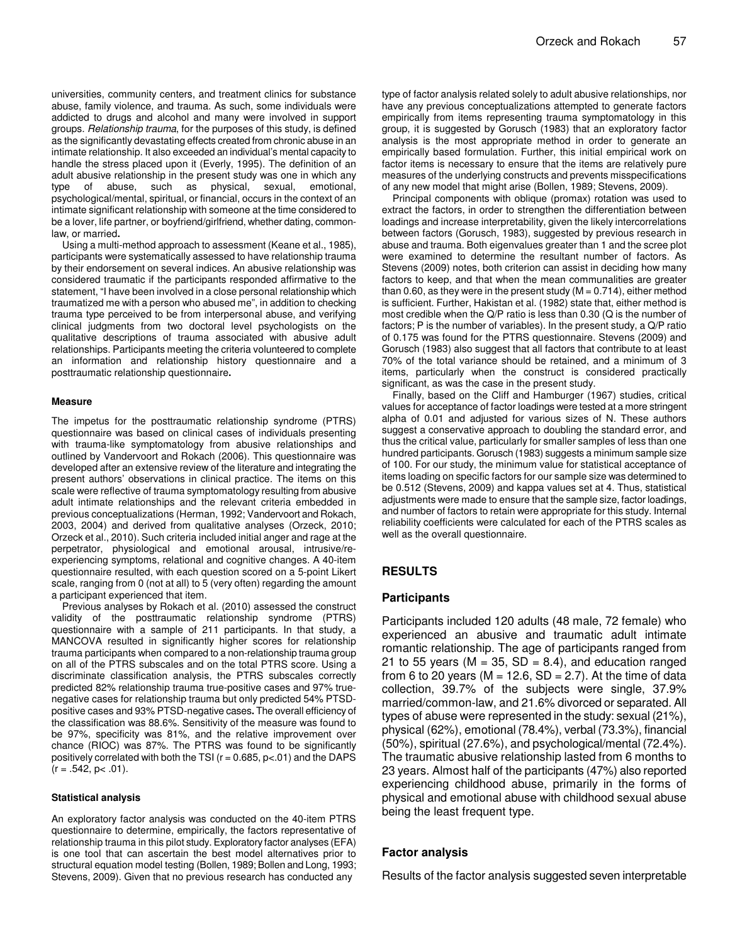universities, community centers, and treatment clinics for substance abuse, family violence, and trauma. As such, some individuals were addicted to drugs and alcohol and many were involved in support groups. *Relationship trauma*, for the purposes of this study, is defined as the significantly devastating effects created from chronic abuse in an intimate relationship. It also exceeded an individual's mental capacity to handle the stress placed upon it (Everly, 1995). The definition of an adult abusive relationship in the present study was one in which any type of abuse, such as physical, sexual, emotional, psychological/mental, spiritual, or financial, occurs in the context of an intimate significant relationship with someone at the time considered to be a lover, life partner, or boyfriend/girlfriend, whether dating, commonlaw, or married**.**

Using a multi-method approach to assessment (Keane et al., 1985), participants were systematically assessed to have relationship trauma by their endorsement on several indices. An abusive relationship was considered traumatic if the participants responded affirmative to the statement, "I have been involved in a close personal relationship which traumatized me with a person who abused me", in addition to checking trauma type perceived to be from interpersonal abuse, and verifying clinical judgments from two doctoral level psychologists on the qualitative descriptions of trauma associated with abusive adult relationships. Participants meeting the criteria volunteered to complete an information and relationship history questionnaire and a posttraumatic relationship questionnaire**.**

#### **Measure**

The impetus for the posttraumatic relationship syndrome (PTRS) questionnaire was based on clinical cases of individuals presenting with trauma-like symptomatology from abusive relationships and outlined by Vandervoort and Rokach (2006). This questionnaire was developed after an extensive review of the literature and integrating the present authors' observations in clinical practice. The items on this scale were reflective of trauma symptomatology resulting from abusive adult intimate relationships and the relevant criteria embedded in previous conceptualizations (Herman, 1992; Vandervoort and Rokach, 2003, 2004) and derived from qualitative analyses (Orzeck, 2010; Orzeck et al., 2010). Such criteria included initial anger and rage at the perpetrator, physiological and emotional arousal, intrusive/reexperiencing symptoms, relational and cognitive changes. A 40-item questionnaire resulted, with each question scored on a 5-point Likert scale, ranging from 0 (not at all) to 5 (very often) regarding the amount a participant experienced that item.

Previous analyses by Rokach et al. (2010) assessed the construct validity of the posttraumatic relationship syndrome (PTRS) questionnaire with a sample of 211 participants. In that study, a MANCOVA resulted in significantly higher scores for relationship trauma participants when compared to a non-relationship trauma group on all of the PTRS subscales and on the total PTRS score. Using a discriminate classification analysis, the PTRS subscales correctly predicted 82% relationship trauma true-positive cases and 97% truenegative cases for relationship trauma but only predicted 54% PTSDpositive cases and 93% PTSD-negative cases**.** The overall efficiency of the classification was 88.6%. Sensitivity of the measure was found to be 97%, specificity was 81%, and the relative improvement over chance (RIOC) was 87%. The PTRS was found to be significantly positively correlated with both the TSI ( $r = 0.685$ ,  $p < .01$ ) and the DAPS  $(r = .542, p < .01).$ 

#### **Statistical analysis**

An exploratory factor analysis was conducted on the 40-item PTRS questionnaire to determine, empirically, the factors representative of relationship trauma in this pilot study. Exploratory factor analyses (EFA) is one tool that can ascertain the best model alternatives prior to structural equation model testing (Bollen, 1989; Bollen and Long, 1993; Stevens, 2009). Given that no previous research has conducted any

type of factor analysis related solely to adult abusive relationships, nor have any previous conceptualizations attempted to generate factors empirically from items representing trauma symptomatology in this group, it is suggested by Gorusch (1983) that an exploratory factor analysis is the most appropriate method in order to generate an empirically based formulation. Further, this initial empirical work on factor items is necessary to ensure that the items are relatively pure measures of the underlying constructs and prevents misspecifications of any new model that might arise (Bollen, 1989; Stevens, 2009).

Principal components with oblique (promax) rotation was used to extract the factors, in order to strengthen the differentiation between loadings and increase interpretability, given the likely intercorrelations between factors (Gorusch, 1983), suggested by previous research in abuse and trauma. Both eigenvalues greater than 1 and the scree plot were examined to determine the resultant number of factors. As Stevens (2009) notes, both criterion can assist in deciding how many factors to keep, and that when the mean communalities are greater than 0.60, as they were in the present study ( $M = 0.714$ ), either method is sufficient. Further, Hakistan et al. (1982) state that, either method is most credible when the Q/P ratio is less than 0.30 (Q is the number of factors; P is the number of variables). In the present study, a Q/P ratio of 0.175 was found for the PTRS questionnaire. Stevens (2009) and Gorusch (1983) also suggest that all factors that contribute to at least 70% of the total variance should be retained, and a minimum of 3 items, particularly when the construct is considered practically significant, as was the case in the present study.

Finally, based on the Cliff and Hamburger (1967) studies, critical values for acceptance of factor loadings were tested at a more stringent alpha of 0.01 and adjusted for various sizes of N. These authors suggest a conservative approach to doubling the standard error, and thus the critical value, particularly for smaller samples of less than one hundred participants. Gorusch (1983) suggests a minimum sample size of 100. For our study, the minimum value for statistical acceptance of items loading on specific factors for our sample size was determined to be 0.512 (Stevens, 2009) and kappa values set at 4. Thus, statistical adjustments were made to ensure that the sample size, factor loadings, and number of factors to retain were appropriate for this study. Internal reliability coefficients were calculated for each of the PTRS scales as well as the overall questionnaire.

## **RESULTS**

## **Participants**

Participants included 120 adults (48 male, 72 female) who experienced an abusive and traumatic adult intimate romantic relationship. The age of participants ranged from 21 to 55 years ( $M = 35$ , SD = 8.4), and education ranged from 6 to 20 years ( $M = 12.6$ ,  $SD = 2.7$ ). At the time of data collection, 39.7% of the subjects were single, 37.9% married/common-law, and 21.6% divorced or separated. All types of abuse were represented in the study: sexual (21%), physical (62%), emotional (78.4%), verbal (73.3%), financial (50%), spiritual (27.6%), and psychological/mental (72.4%). The traumatic abusive relationship lasted from 6 months to 23 years. Almost half of the participants (47%) also reported experiencing childhood abuse, primarily in the forms of physical and emotional abuse with childhood sexual abuse being the least frequent type.

## **Factor analysis**

Results of the factor analysis suggested seven interpretable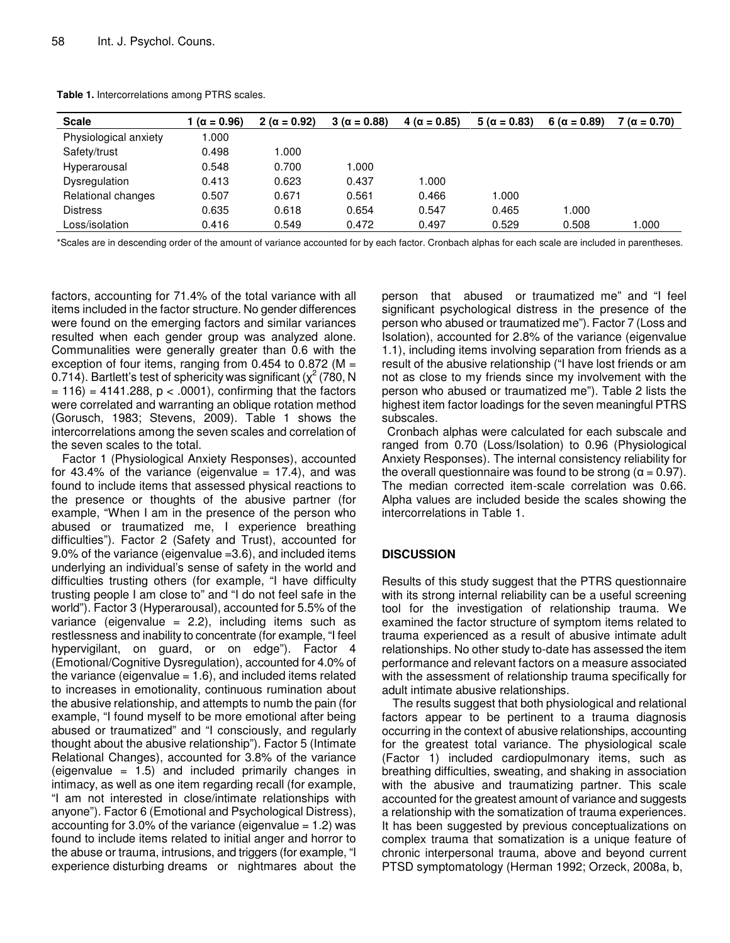| <b>Scale</b>          | 1 (α = 0.96) | $2(\alpha = 0.92)$ | $3(\alpha = 0.88)$ | $4(\alpha = 0.85)$ | $5(\alpha = 0.83)$ | 6 ( $\alpha$ = 0.89) | 7 ( $\alpha = 0.70$ ) |
|-----------------------|--------------|--------------------|--------------------|--------------------|--------------------|----------------------|-----------------------|
| Physiological anxiety | 1.000        |                    |                    |                    |                    |                      |                       |
| Safety/trust          | 0.498        | 000. ا             |                    |                    |                    |                      |                       |
| Hyperarousal          | 0.548        | 0.700              | 1.000              |                    |                    |                      |                       |
| Dysregulation         | 0.413        | 0.623              | 0.437              | 1.000              |                    |                      |                       |
| Relational changes    | 0.507        | 0.671              | 0.561              | 0.466              | 1.000              |                      |                       |
| <b>Distress</b>       | 0.635        | 0.618              | 0.654              | 0.547              | 0.465              | 1.000                |                       |
| Loss/isolation        | 0.416        | 0.549              | 0.472              | 0.497              | 0.529              | 0.508                | 1.000                 |

**Table 1.** Intercorrelations among PTRS scales.

\*Scales are in descending order of the amount of variance accounted for by each factor. Cronbach alphas for each scale are included in parentheses.

factors, accounting for 71.4% of the total variance with all items included in the factor structure. No gender differences were found on the emerging factors and similar variances resulted when each gender group was analyzed alone. Communalities were generally greater than 0.6 with the exception of four items, ranging from 0.454 to 0.872 ( $M =$ 0.714). Bartlett's test of sphericity was significant ( $\chi^2$  (780, N  $= 116$ ) = 4141.288, p < .0001), confirming that the factors were correlated and warranting an oblique rotation method (Gorusch, 1983; Stevens, 2009). Table 1 shows the intercorrelations among the seven scales and correlation of the seven scales to the total.

Factor 1 (Physiological Anxiety Responses), accounted for 43.4% of the variance (eigenvalue  $= 17.4$ ), and was found to include items that assessed physical reactions to the presence or thoughts of the abusive partner (for example, "When I am in the presence of the person who abused or traumatized me, I experience breathing difficulties"). Factor 2 (Safety and Trust), accounted for 9.0% of the variance (eigenvalue =3.6), and included items underlying an individual's sense of safety in the world and difficulties trusting others (for example, "I have difficulty trusting people I am close to" and "I do not feel safe in the world"). Factor 3 (Hyperarousal), accounted for 5.5% of the variance (eigenvalue =  $2.2$ ), including items such as restlessness and inability to concentrate (for example, "I feel hypervigilant, on guard, or on edge"). Factor 4 (Emotional/Cognitive Dysregulation), accounted for 4.0% of the variance (eigenvalue  $= 1.6$ ), and included items related to increases in emotionality, continuous rumination about the abusive relationship, and attempts to numb the pain (for example, "I found myself to be more emotional after being abused or traumatized" and "I consciously, and regularly thought about the abusive relationship"). Factor 5 (Intimate Relational Changes), accounted for 3.8% of the variance  $(eigenvalue = 1.5)$  and included primarily changes in intimacy, as well as one item regarding recall (for example, "I am not interested in close/intimate relationships with anyone"). Factor 6 (Emotional and Psychological Distress), accounting for 3.0% of the variance (eigenvalue  $= 1.2$ ) was found to include items related to initial anger and horror to the abuse or trauma, intrusions, and triggers (for example, "I experience disturbing dreams or nightmares about the

person that abused or traumatized me" and "I feel significant psychological distress in the presence of the person who abused or traumatized me"). Factor 7 (Loss and Isolation), accounted for 2.8% of the variance (eigenvalue 1.1), including items involving separation from friends as a result of the abusive relationship ("I have lost friends or am not as close to my friends since my involvement with the person who abused or traumatized me"). Table 2 lists the highest item factor loadings for the seven meaningful PTRS subscales.

Cronbach alphas were calculated for each subscale and ranged from 0.70 (Loss/Isolation) to 0.96 (Physiological Anxiety Responses). The internal consistency reliability for the overall questionnaire was found to be strong ( $\alpha$  = 0.97). The median corrected item-scale correlation was 0.66. Alpha values are included beside the scales showing the intercorrelations in Table 1.

# **DISCUSSION**

Results of this study suggest that the PTRS questionnaire with its strong internal reliability can be a useful screening tool for the investigation of relationship trauma. We examined the factor structure of symptom items related to trauma experienced as a result of abusive intimate adult relationships. No other study to-date has assessed the item performance and relevant factors on a measure associated with the assessment of relationship trauma specifically for adult intimate abusive relationships.

The results suggest that both physiological and relational factors appear to be pertinent to a trauma diagnosis occurring in the context of abusive relationships, accounting for the greatest total variance. The physiological scale (Factor 1) included cardiopulmonary items, such as breathing difficulties, sweating, and shaking in association with the abusive and traumatizing partner. This scale accounted for the greatest amount of variance and suggests a relationship with the somatization of trauma experiences. It has been suggested by previous conceptualizations on complex trauma that somatization is a unique feature of chronic interpersonal trauma, above and beyond current PTSD symptomatology (Herman 1992; Orzeck, 2008a, b,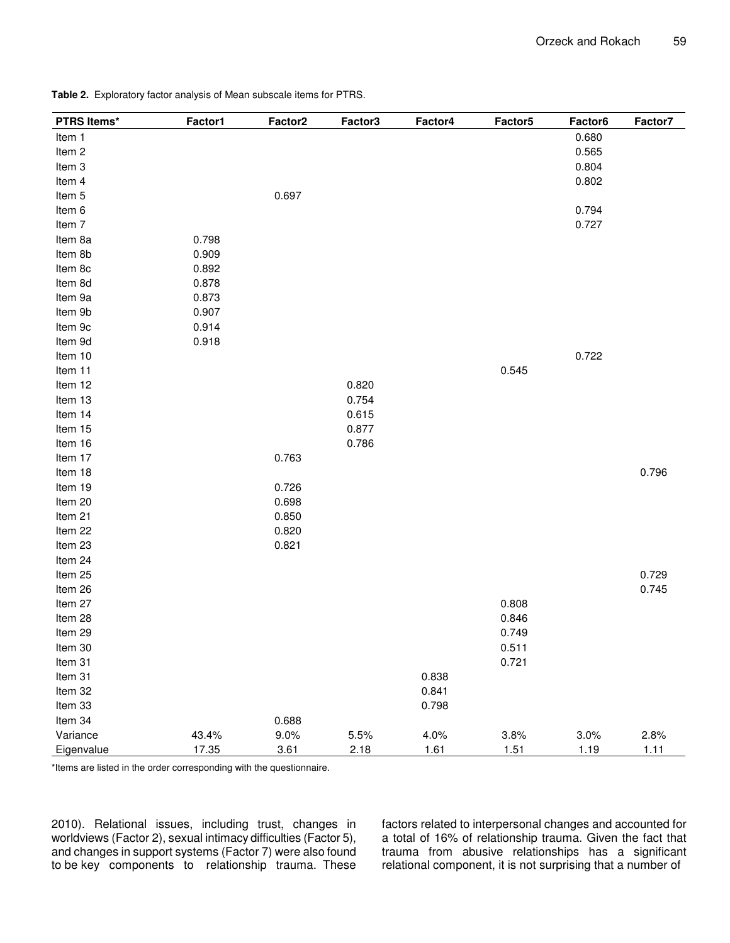| PTRS Items*       | Factor1 | Factor <sub>2</sub> | Factor3 | Factor4 | Factor <sub>5</sub> | Factor <sub>6</sub> | Factor7 |
|-------------------|---------|---------------------|---------|---------|---------------------|---------------------|---------|
| Item 1            |         |                     |         |         |                     | 0.680               |         |
| Item <sub>2</sub> |         |                     |         |         |                     | 0.565               |         |
| Item 3            |         |                     |         |         |                     | 0.804               |         |
| Item 4            |         |                     |         |         |                     | 0.802               |         |
| Item 5            |         | 0.697               |         |         |                     |                     |         |
| Item 6            |         |                     |         |         |                     | 0.794               |         |
| Item 7            |         |                     |         |         |                     | 0.727               |         |
| Item 8a           | 0.798   |                     |         |         |                     |                     |         |
| Item 8b           | 0.909   |                     |         |         |                     |                     |         |
| Item 8c           | 0.892   |                     |         |         |                     |                     |         |
| Item 8d           | 0.878   |                     |         |         |                     |                     |         |
| Item 9a           | 0.873   |                     |         |         |                     |                     |         |
| Item 9b           | 0.907   |                     |         |         |                     |                     |         |
| Item 9c           | 0.914   |                     |         |         |                     |                     |         |
| Item 9d           | 0.918   |                     |         |         |                     |                     |         |
| Item 10           |         |                     |         |         |                     | 0.722               |         |
| Item 11           |         |                     |         |         | 0.545               |                     |         |
| Item 12           |         |                     | 0.820   |         |                     |                     |         |
| Item 13           |         |                     | 0.754   |         |                     |                     |         |
| Item 14           |         |                     | 0.615   |         |                     |                     |         |
| Item 15           |         |                     | 0.877   |         |                     |                     |         |
| Item 16           |         |                     | 0.786   |         |                     |                     |         |
| Item 17           |         | 0.763               |         |         |                     |                     |         |
| Item 18           |         |                     |         |         |                     |                     | 0.796   |
| Item 19           |         | 0.726               |         |         |                     |                     |         |
| Item 20           |         | 0.698               |         |         |                     |                     |         |
| Item 21           |         | 0.850               |         |         |                     |                     |         |
| Item 22           |         | 0.820               |         |         |                     |                     |         |
| Item 23           |         | 0.821               |         |         |                     |                     |         |
| Item 24           |         |                     |         |         |                     |                     |         |
| Item 25           |         |                     |         |         |                     |                     | 0.729   |
| Item 26           |         |                     |         |         |                     |                     | 0.745   |
| Item 27           |         |                     |         |         | 0.808               |                     |         |
| Item 28           |         |                     |         |         | 0.846               |                     |         |
| Item 29           |         |                     |         |         | 0.749               |                     |         |
| Item 30           |         |                     |         |         | 0.511               |                     |         |
| Item 31           |         |                     |         |         | 0.721               |                     |         |
| Item 31           |         |                     |         | 0.838   |                     |                     |         |
| Item 32           |         |                     |         | 0.841   |                     |                     |         |
| Item 33           |         |                     |         | 0.798   |                     |                     |         |
| Item 34           |         | 0.688               |         |         |                     |                     |         |
| Variance          | 43.4%   | 9.0%                | 5.5%    | 4.0%    | 3.8%                | 3.0%                | 2.8%    |
| Eigenvalue        | 17.35   | 3.61                | 2.18    | 1.61    | 1.51                | 1.19                | 1.11    |

**Table 2.** Exploratory factor analysis of Mean subscale items for PTRS.

\*Items are listed in the order corresponding with the questionnaire.

2010). Relational issues, including trust, changes in worldviews (Factor 2), sexual intimacy difficulties (Factor 5), and changes in support systems (Factor 7) were also found to be key components to relationship trauma. These factors related to interpersonal changes and accounted for a total of 16% of relationship trauma. Given the fact that trauma from abusive relationships has a significant relational component, it is not surprising that a number of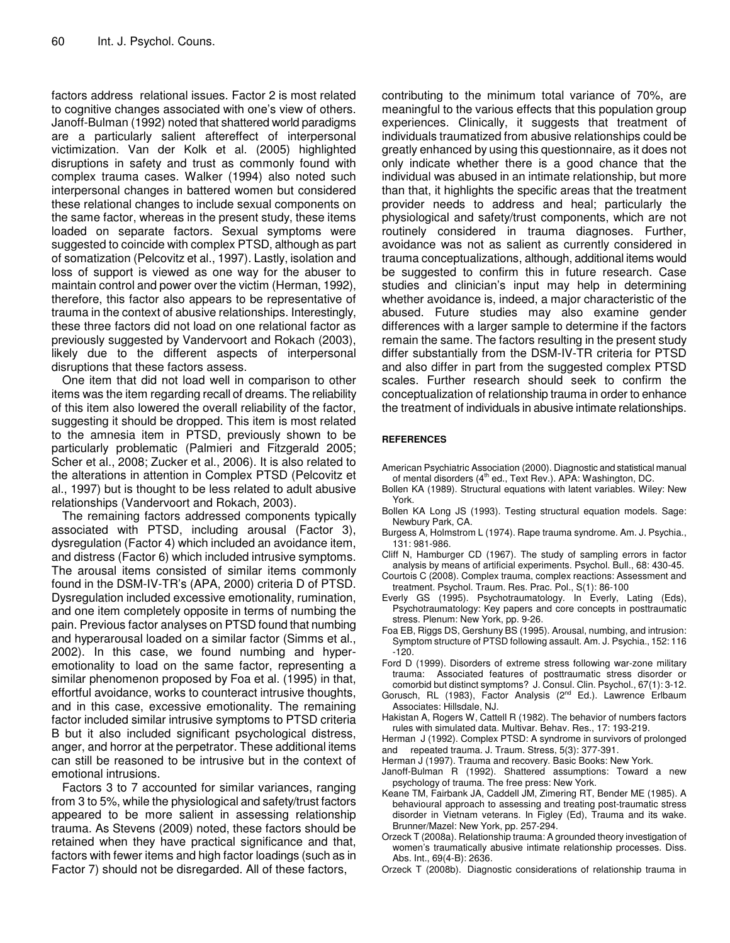factors address relational issues. Factor 2 is most related to cognitive changes associated with one's view of others. Janoff-Bulman (1992) noted that shattered world paradigms are a particularly salient aftereffect of interpersonal victimization. Van der Kolk et al. (2005) highlighted disruptions in safety and trust as commonly found with complex trauma cases. Walker (1994) also noted such interpersonal changes in battered women but considered these relational changes to include sexual components on the same factor, whereas in the present study, these items loaded on separate factors. Sexual symptoms were suggested to coincide with complex PTSD, although as part of somatization (Pelcovitz et al., 1997). Lastly, isolation and loss of support is viewed as one way for the abuser to maintain control and power over the victim (Herman, 1992), therefore, this factor also appears to be representative of trauma in the context of abusive relationships. Interestingly, these three factors did not load on one relational factor as previously suggested by Vandervoort and Rokach (2003), likely due to the different aspects of interpersonal disruptions that these factors assess.

One item that did not load well in comparison to other items was the item regarding recall of dreams. The reliability of this item also lowered the overall reliability of the factor, suggesting it should be dropped. This item is most related to the amnesia item in PTSD, previously shown to be particularly problematic (Palmieri and Fitzgerald 2005; Scher et al., 2008; Zucker et al., 2006). It is also related to the alterations in attention in Complex PTSD (Pelcovitz et al., 1997) but is thought to be less related to adult abusive relationships (Vandervoort and Rokach, 2003).

The remaining factors addressed components typically associated with PTSD, including arousal (Factor 3), dysregulation (Factor 4) which included an avoidance item, and distress (Factor 6) which included intrusive symptoms. The arousal items consisted of similar items commonly found in the DSM-IV-TR's (APA, 2000) criteria D of PTSD. Dysregulation included excessive emotionality, rumination, and one item completely opposite in terms of numbing the pain. Previous factor analyses on PTSD found that numbing and hyperarousal loaded on a similar factor (Simms et al., 2002). In this case, we found numbing and hyperemotionality to load on the same factor, representing a similar phenomenon proposed by Foa et al. (1995) in that, effortful avoidance, works to counteract intrusive thoughts, and in this case, excessive emotionality. The remaining factor included similar intrusive symptoms to PTSD criteria B but it also included significant psychological distress, anger, and horror at the perpetrator. These additional items can still be reasoned to be intrusive but in the context of emotional intrusions.

Factors 3 to 7 accounted for similar variances, ranging from 3 to 5%, while the physiological and safety/trust factors appeared to be more salient in assessing relationship trauma. As Stevens (2009) noted, these factors should be retained when they have practical significance and that, factors with fewer items and high factor loadings (such as in Factor 7) should not be disregarded. All of these factors,

contributing to the minimum total variance of 70%, are meaningful to the various effects that this population group experiences. Clinically, it suggests that treatment of individuals traumatized from abusive relationships could be greatly enhanced by using this questionnaire, as it does not only indicate whether there is a good chance that the individual was abused in an intimate relationship, but more than that, it highlights the specific areas that the treatment provider needs to address and heal; particularly the physiological and safety/trust components, which are not routinely considered in trauma diagnoses. Further, avoidance was not as salient as currently considered in trauma conceptualizations, although, additional items would be suggested to confirm this in future research. Case studies and clinician's input may help in determining whether avoidance is, indeed, a major characteristic of the abused. Future studies may also examine gender differences with a larger sample to determine if the factors remain the same. The factors resulting in the present study differ substantially from the DSM-IV-TR criteria for PTSD and also differ in part from the suggested complex PTSD scales. Further research should seek to confirm the conceptualization of relationship trauma in order to enhance the treatment of individuals in abusive intimate relationships.

## **REFERENCES**

- American Psychiatric Association (2000). Diagnostic and statistical manual of mental disorders (4<sup>th</sup> ed., Text Rev.). APA: Washington, DC.
- Bollen KA (1989). Structural equations with latent variables. Wiley: New York.
- Bollen KA Long JS (1993). Testing structural equation models. Sage: Newbury Park, CA.
- Burgess A, Holmstrom L (1974). Rape trauma syndrome. Am. J. Psychia., 131: 981-986.
- Cliff N, Hamburger CD (1967). The study of sampling errors in factor analysis by means of artificial experiments. Psychol. Bull., 68: 430-45.
- Courtois C (2008). Complex trauma, complex reactions: Assessment and treatment. Psychol. Traum. Res. Prac. Pol., S(1): 86-100
- Everly GS (1995). Psychotraumatology. In Everly, Lating (Eds), Psychotraumatology: Key papers and core concepts in posttraumatic stress. Plenum: New York, pp. 9-26.
- Foa EB, Riggs DS, Gershuny BS (1995). Arousal, numbing, and intrusion: Symptom structure of PTSD following assault. Am. J. Psychia., 152: 116 -120.
- Ford D (1999). Disorders of extreme stress following war-zone military trauma: Associated features of posttraumatic stress disorder or comorbid but distinct symptoms? J. Consul. Clin. Psychol., 67(1): 3-12.
- Gorusch, RL (1983), Factor Analysis (2<sup>nd</sup> Ed.). Lawrence Erlbaum Associates: Hillsdale, NJ.
- Hakistan A, Rogers W, Cattell R (1982). The behavior of numbers factors rules with simulated data. Multivar. Behav. Res., 17: 193-219.
- Herman J (1992). Complex PTSD: A syndrome in survivors of prolonged and repeated trauma. J. Traum. Stress, 5(3): 377-391.
- Herman J (1997). Trauma and recovery. Basic Books: New York.
- Janoff-Bulman R (1992). Shattered assumptions: Toward a new psychology of trauma. The free press: New York.
- Keane TM, Fairbank JA, Caddell JM, Zimering RT, Bender ME (1985). A behavioural approach to assessing and treating post-traumatic stress disorder in Vietnam veterans. In Figley (Ed), Trauma and its wake. Brunner/Mazel: New York, pp. 257-294.
- Orzeck T (2008a). Relationship trauma: A grounded theory investigation of women's traumatically abusive intimate relationship processes. Diss. Abs. Int., 69(4-B): 2636.
- Orzeck T (2008b). Diagnostic considerations of relationship trauma in